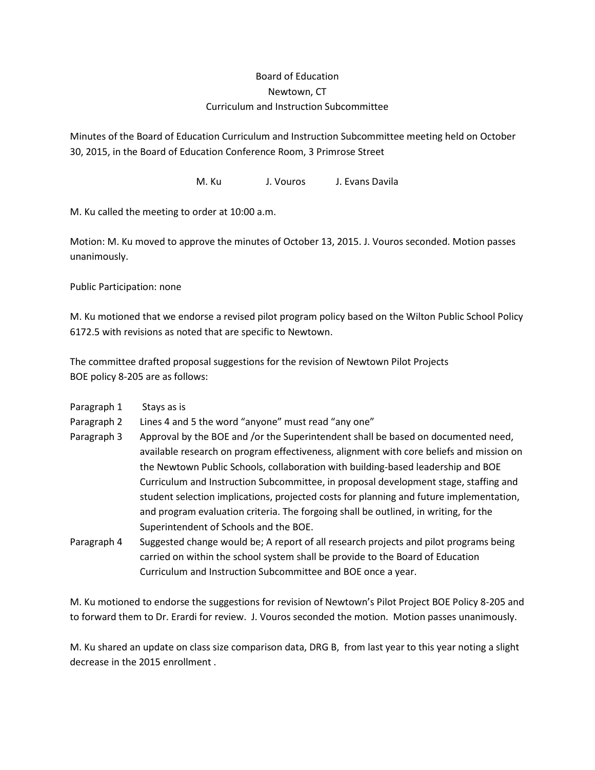## Board of Education Newtown, CT Curriculum and Instruction Subcommittee

Minutes of the Board of Education Curriculum and Instruction Subcommittee meeting held on October 30, 2015, in the Board of Education Conference Room, 3 Primrose Street

M. Ku J. Vouros J. Evans Davila

M. Ku called the meeting to order at 10:00 a.m.

Motion: M. Ku moved to approve the minutes of October 13, 2015. J. Vouros seconded. Motion passes unanimously.

Public Participation: none

M. Ku motioned that we endorse a revised pilot program policy based on the Wilton Public School Policy 6172.5 with revisions as noted that are specific to Newtown.

The committee drafted proposal suggestions for the revision of Newtown Pilot Projects BOE policy 8-205 are as follows:

- Paragraph 1 Stays as is
- Paragraph 2 Lines 4 and 5 the word "anyone" must read "any one"
- Paragraph 3 Approval by the BOE and /or the Superintendent shall be based on documented need, available research on program effectiveness, alignment with core beliefs and mission on the Newtown Public Schools, collaboration with building-based leadership and BOE Curriculum and Instruction Subcommittee, in proposal development stage, staffing and student selection implications, projected costs for planning and future implementation, and program evaluation criteria. The forgoing shall be outlined, in writing, for the Superintendent of Schools and the BOE.
- Paragraph 4 Suggested change would be; A report of all research projects and pilot programs being carried on within the school system shall be provide to the Board of Education Curriculum and Instruction Subcommittee and BOE once a year.

M. Ku motioned to endorse the suggestions for revision of Newtown's Pilot Project BOE Policy 8-205 and to forward them to Dr. Erardi for review. J. Vouros seconded the motion. Motion passes unanimously.

M. Ku shared an update on class size comparison data, DRG B, from last year to this year noting a slight decrease in the 2015 enrollment .